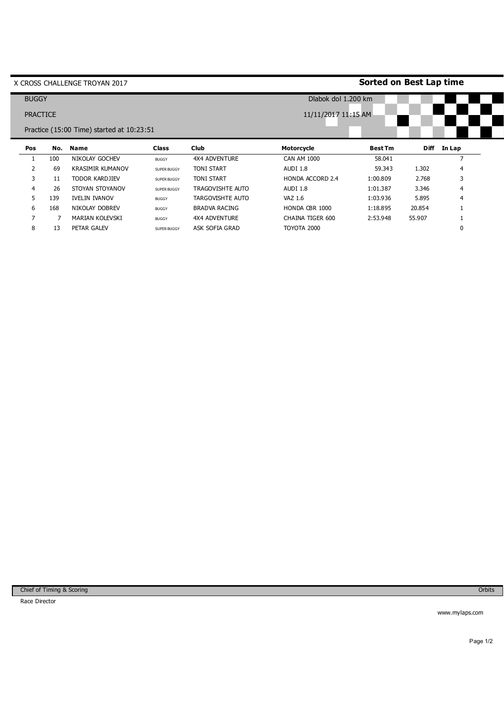|                 |              | X CROSS CHALLENGE TROYAN 2017             |              |                      | <b>Sorted on Best Lap time</b> |                |             |        |  |
|-----------------|--------------|-------------------------------------------|--------------|----------------------|--------------------------------|----------------|-------------|--------|--|
|                 | <b>BUGGY</b> |                                           |              |                      | Dlabok dol 1.200 km            |                |             |        |  |
| <b>PRACTICE</b> |              |                                           |              |                      | 11/11/2017 11:15 AM            |                |             |        |  |
|                 |              | Practice (15:00 Time) started at 10:23:51 |              |                      |                                |                |             |        |  |
| Pos             | No.          | <b>Name</b>                               | <b>Class</b> | <b>Club</b>          | Motorcycle                     | <b>Best Tm</b> | <b>Diff</b> | In Lap |  |
|                 | 100          | NIKOLAY GOCHEV                            | <b>BUGGY</b> | <b>4X4 ADVENTURE</b> | <b>CAN AM 1000</b>             | 58.041         |             |        |  |
| 2               | 69           | <b>KRASIMIR KUMANOV</b>                   | SUPER BUGGY  | <b>TONI START</b>    | AUDI 1.8                       | 59.343         | 1.302       | 4      |  |
| 3               | 11           | <b>TODOR KARDJIEV</b>                     | SUPER BUGGY  | <b>TONI START</b>    | HONDA ACCORD 2.4               | 1:00.809       | 2.768       | 3      |  |
| 4               | 26           | STOYAN STOYANOV                           | SUPER BUGGY  | TRAGOVISHTE AUTO     | AUDI 1.8                       | 1:01.387       | 3.346       | 4      |  |
| 5               | 139          | <b>IVELIN IVANOV</b>                      | <b>BUGGY</b> | TARGOVISHTE AUTO     | VAZ 1.6                        | 1:03.936       | 5.895       | 4      |  |
|                 |              | NIKOLAY DOBREV                            | <b>BUGGY</b> | <b>BRADVA RACING</b> | HONDA CBR 1000                 | 1:18.895       | 20.854      |        |  |
| 6               | 168          |                                           |              |                      |                                |                |             |        |  |
| $\overline{7}$  |              | MARIAN KOLEVSKI                           | <b>BUGGY</b> | <b>4X4 ADVENTURE</b> | CHAINA TIGER 600               | 2:53.948       | 55.907      |        |  |

www.mylaps.com

Orbits